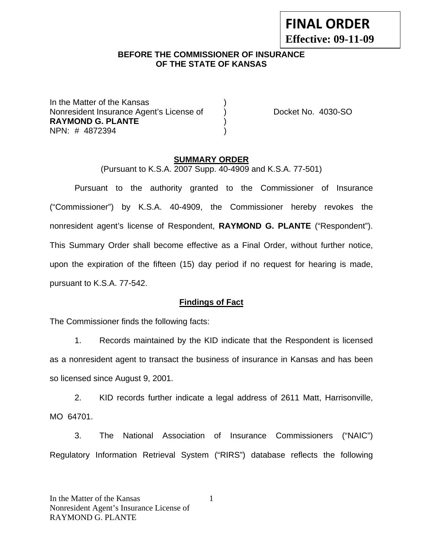# **FINAL ORDER Effective: 09-11-09**

### **BEFORE THE COMMISSIONER OF INSURANCE OF THE STATE OF KANSAS**

In the Matter of the Kansas Nonresident Insurance Agent's License of (a) Docket No. 4030-SO **RAYMOND G. PLANTE** ) NPN: # 4872394 )

#### **SUMMARY ORDER**

(Pursuant to K.S.A. 2007 Supp. 40-4909 and K.S.A. 77-501)

 Pursuant to the authority granted to the Commissioner of Insurance ("Commissioner") by K.S.A. 40-4909, the Commissioner hereby revokes the nonresident agent's license of Respondent, **RAYMOND G. PLANTE** ("Respondent"). This Summary Order shall become effective as a Final Order, without further notice, upon the expiration of the fifteen (15) day period if no request for hearing is made, pursuant to K.S.A. 77-542.

### **Findings of Fact**

The Commissioner finds the following facts:

 1. Records maintained by the KID indicate that the Respondent is licensed as a nonresident agent to transact the business of insurance in Kansas and has been so licensed since August 9, 2001.

 2. KID records further indicate a legal address of 2611 Matt, Harrisonville, MO 64701.

 3. The National Association of Insurance Commissioners ("NAIC") Regulatory Information Retrieval System ("RIRS") database reflects the following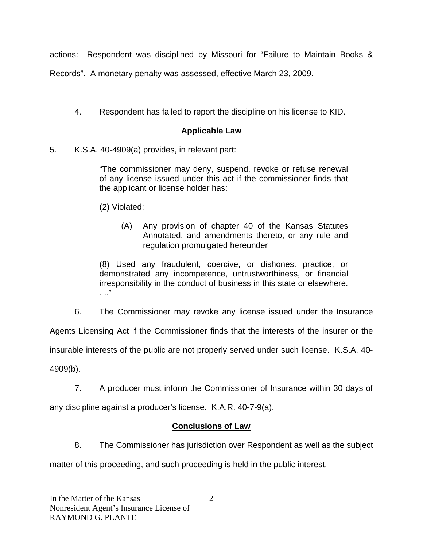actions: Respondent was disciplined by Missouri for "Failure to Maintain Books &

Records". A monetary penalty was assessed, effective March 23, 2009.

4. Respondent has failed to report the discipline on his license to KID.

## **Applicable Law**

5. K.S.A. 40-4909(a) provides, in relevant part:

"The commissioner may deny, suspend, revoke or refuse renewal of any license issued under this act if the commissioner finds that the applicant or license holder has:

(2) Violated:

(A) Any provision of chapter 40 of the Kansas Statutes Annotated, and amendments thereto, or any rule and regulation promulgated hereunder

(8) Used any fraudulent, coercive, or dishonest practice, or demonstrated any incompetence, untrustworthiness, or financial irresponsibility in the conduct of business in this state or elsewhere. . .."

6. The Commissioner may revoke any license issued under the Insurance

Agents Licensing Act if the Commissioner finds that the interests of the insurer or the

insurable interests of the public are not properly served under such license. K.S.A. 40-

4909(b).

7. A producer must inform the Commissioner of Insurance within 30 days of

any discipline against a producer's license. K.A.R. 40-7-9(a).

### **Conclusions of Law**

8. The Commissioner has jurisdiction over Respondent as well as the subject

matter of this proceeding, and such proceeding is held in the public interest.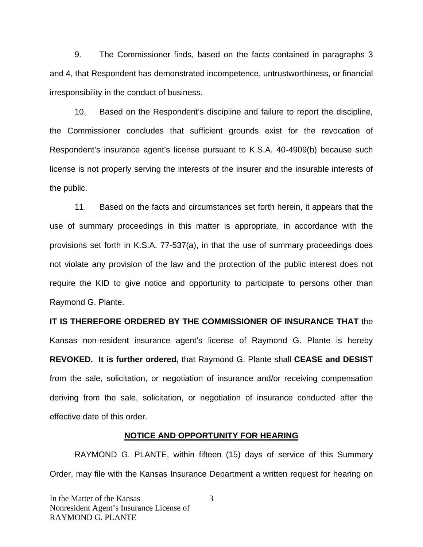9. The Commissioner finds, based on the facts contained in paragraphs 3 and 4, that Respondent has demonstrated incompetence, untrustworthiness, or financial irresponsibility in the conduct of business.

 10. Based on the Respondent's discipline and failure to report the discipline, the Commissioner concludes that sufficient grounds exist for the revocation of Respondent's insurance agent's license pursuant to K.S.A. 40-4909(b) because such license is not properly serving the interests of the insurer and the insurable interests of the public.

 11. Based on the facts and circumstances set forth herein, it appears that the use of summary proceedings in this matter is appropriate, in accordance with the provisions set forth in K.S.A. 77-537(a), in that the use of summary proceedings does not violate any provision of the law and the protection of the public interest does not require the KID to give notice and opportunity to participate to persons other than Raymond G. Plante.

**IT IS THEREFORE ORDERED BY THE COMMISSIONER OF INSURANCE THAT** the Kansas non-resident insurance agent's license of Raymond G. Plante is hereby **REVOKED. It is further ordered,** that Raymond G. Plante shall **CEASE and DESIST** from the sale, solicitation, or negotiation of insurance and/or receiving compensation deriving from the sale, solicitation, or negotiation of insurance conducted after the effective date of this order.

#### **NOTICE AND OPPORTUNITY FOR HEARING**

RAYMOND G. PLANTE, within fifteen (15) days of service of this Summary Order, may file with the Kansas Insurance Department a written request for hearing on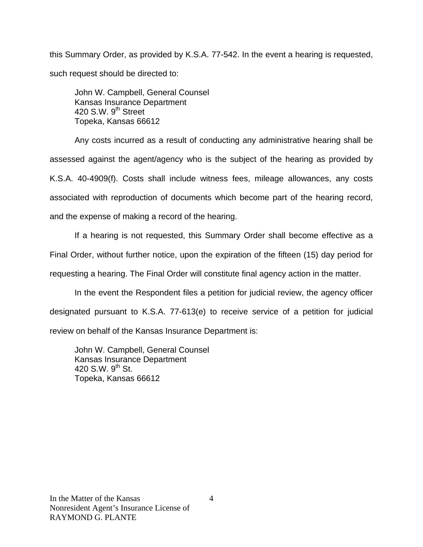this Summary Order, as provided by K.S.A. 77-542. In the event a hearing is requested, such request should be directed to:

John W. Campbell, General Counsel Kansas Insurance Department 420 S.W.  $9<sup>th</sup>$  Street Topeka, Kansas 66612

Any costs incurred as a result of conducting any administrative hearing shall be assessed against the agent/agency who is the subject of the hearing as provided by K.S.A. 40-4909(f). Costs shall include witness fees, mileage allowances, any costs associated with reproduction of documents which become part of the hearing record, and the expense of making a record of the hearing.

If a hearing is not requested, this Summary Order shall become effective as a Final Order, without further notice, upon the expiration of the fifteen (15) day period for requesting a hearing. The Final Order will constitute final agency action in the matter.

In the event the Respondent files a petition for judicial review, the agency officer designated pursuant to K.S.A. 77-613(e) to receive service of a petition for judicial review on behalf of the Kansas Insurance Department is:

John W. Campbell, General Counsel Kansas Insurance Department 420 S.W. 9<sup>th</sup> St. Topeka, Kansas 66612